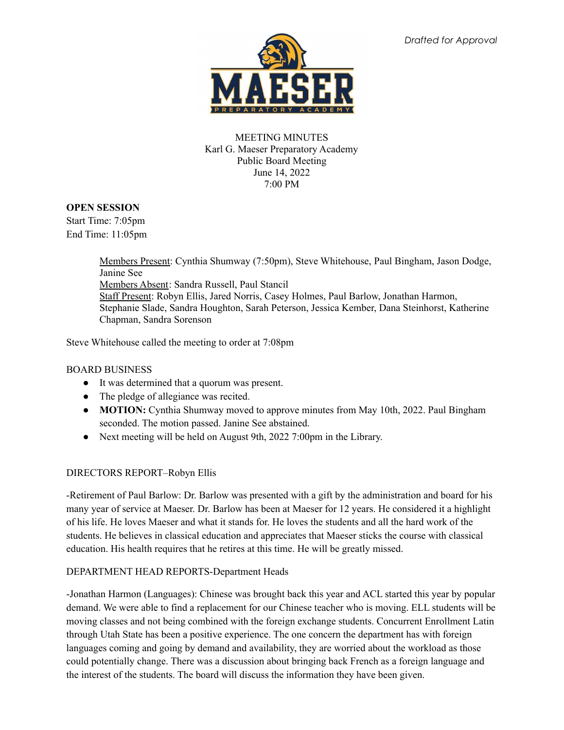

### MEETING MINUTES Karl G. Maeser Preparatory Academy Public Board Meeting June 14, 2022 7:00 PM

# **OPEN SESSION**

Start Time: 7:05pm End Time: 11:05pm

> Members Present: Cynthia Shumway (7:50pm), Steve Whitehouse, Paul Bingham, Jason Dodge, Janine See Members Absent: Sandra Russell, Paul Stancil Staff Present: Robyn Ellis, Jared Norris, Casey Holmes, Paul Barlow, Jonathan Harmon, Stephanie Slade, Sandra Houghton, Sarah Peterson, Jessica Kember, Dana Steinhorst, Katherine Chapman, Sandra Sorenson

Steve Whitehouse called the meeting to order at 7:08pm

## BOARD BUSINESS

- It was determined that a quorum was present.
- The pledge of allegiance was recited.
- **MOTION:** Cynthia Shumway moved to approve minutes from May 10th, 2022. Paul Bingham seconded. The motion passed. Janine See abstained.
- Next meeting will be held on August 9th, 2022 7:00pm in the Library.

# DIRECTORS REPORT–Robyn Ellis

-Retirement of Paul Barlow: Dr. Barlow was presented with a gift by the administration and board for his many year of service at Maeser. Dr. Barlow has been at Maeser for 12 years. He considered it a highlight of his life. He loves Maeser and what it stands for. He loves the students and all the hard work of the students. He believes in classical education and appreciates that Maeser sticks the course with classical education. His health requires that he retires at this time. He will be greatly missed.

### DEPARTMENT HEAD REPORTS-Department Heads

-Jonathan Harmon (Languages): Chinese was brought back this year and ACL started this year by popular demand. We were able to find a replacement for our Chinese teacher who is moving. ELL students will be moving classes and not being combined with the foreign exchange students. Concurrent Enrollment Latin through Utah State has been a positive experience. The one concern the department has with foreign languages coming and going by demand and availability, they are worried about the workload as those could potentially change. There was a discussion about bringing back French as a foreign language and the interest of the students. The board will discuss the information they have been given.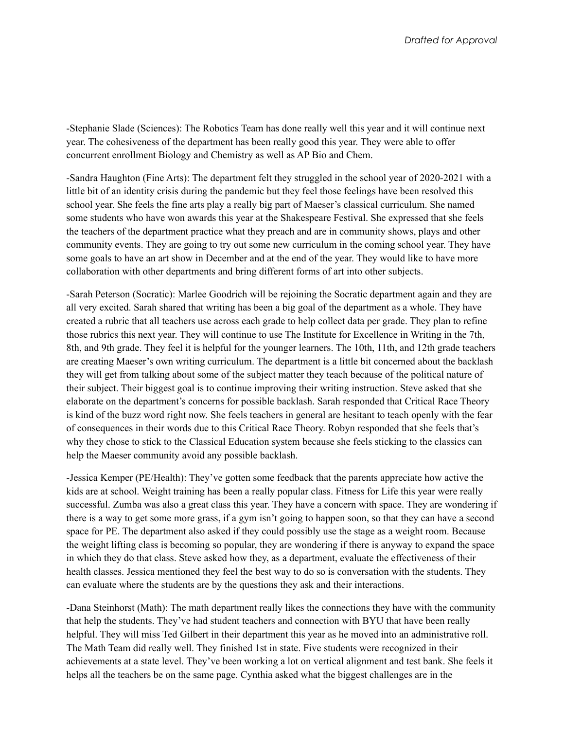-Stephanie Slade (Sciences): The Robotics Team has done really well this year and it will continue next year. The cohesiveness of the department has been really good this year. They were able to offer concurrent enrollment Biology and Chemistry as well as AP Bio and Chem.

-Sandra Haughton (Fine Arts): The department felt they struggled in the school year of 2020-2021 with a little bit of an identity crisis during the pandemic but they feel those feelings have been resolved this school year. She feels the fine arts play a really big part of Maeser's classical curriculum. She named some students who have won awards this year at the Shakespeare Festival. She expressed that she feels the teachers of the department practice what they preach and are in community shows, plays and other community events. They are going to try out some new curriculum in the coming school year. They have some goals to have an art show in December and at the end of the year. They would like to have more collaboration with other departments and bring different forms of art into other subjects.

-Sarah Peterson (Socratic): Marlee Goodrich will be rejoining the Socratic department again and they are all very excited. Sarah shared that writing has been a big goal of the department as a whole. They have created a rubric that all teachers use across each grade to help collect data per grade. They plan to refine those rubrics this next year. They will continue to use The Institute for Excellence in Writing in the 7th, 8th, and 9th grade. They feel it is helpful for the younger learners. The 10th, 11th, and 12th grade teachers are creating Maeser's own writing curriculum. The department is a little bit concerned about the backlash they will get from talking about some of the subject matter they teach because of the political nature of their subject. Their biggest goal is to continue improving their writing instruction. Steve asked that she elaborate on the department's concerns for possible backlash. Sarah responded that Critical Race Theory is kind of the buzz word right now. She feels teachers in general are hesitant to teach openly with the fear of consequences in their words due to this Critical Race Theory. Robyn responded that she feels that's why they chose to stick to the Classical Education system because she feels sticking to the classics can help the Maeser community avoid any possible backlash.

-Jessica Kemper (PE/Health): They've gotten some feedback that the parents appreciate how active the kids are at school. Weight training has been a really popular class. Fitness for Life this year were really successful. Zumba was also a great class this year. They have a concern with space. They are wondering if there is a way to get some more grass, if a gym isn't going to happen soon, so that they can have a second space for PE. The department also asked if they could possibly use the stage as a weight room. Because the weight lifting class is becoming so popular, they are wondering if there is anyway to expand the space in which they do that class. Steve asked how they, as a department, evaluate the effectiveness of their health classes. Jessica mentioned they feel the best way to do so is conversation with the students. They can evaluate where the students are by the questions they ask and their interactions.

-Dana Steinhorst (Math): The math department really likes the connections they have with the community that help the students. They've had student teachers and connection with BYU that have been really helpful. They will miss Ted Gilbert in their department this year as he moved into an administrative roll. The Math Team did really well. They finished 1st in state. Five students were recognized in their achievements at a state level. They've been working a lot on vertical alignment and test bank. She feels it helps all the teachers be on the same page. Cynthia asked what the biggest challenges are in the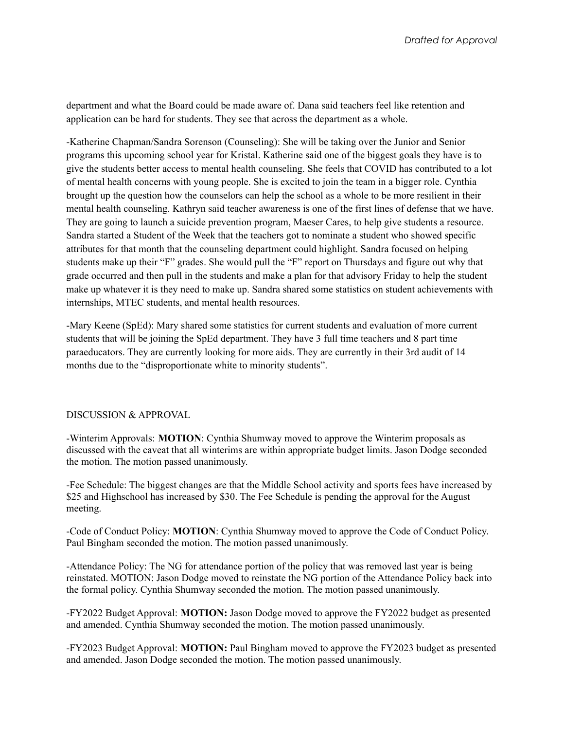department and what the Board could be made aware of. Dana said teachers feel like retention and application can be hard for students. They see that across the department as a whole.

-Katherine Chapman/Sandra Sorenson (Counseling): She will be taking over the Junior and Senior programs this upcoming school year for Kristal. Katherine said one of the biggest goals they have is to give the students better access to mental health counseling. She feels that COVID has contributed to a lot of mental health concerns with young people. She is excited to join the team in a bigger role. Cynthia brought up the question how the counselors can help the school as a whole to be more resilient in their mental health counseling. Kathryn said teacher awareness is one of the first lines of defense that we have. They are going to launch a suicide prevention program, Maeser Cares, to help give students a resource. Sandra started a Student of the Week that the teachers got to nominate a student who showed specific attributes for that month that the counseling department could highlight. Sandra focused on helping students make up their "F" grades. She would pull the "F" report on Thursdays and figure out why that grade occurred and then pull in the students and make a plan for that advisory Friday to help the student make up whatever it is they need to make up. Sandra shared some statistics on student achievements with internships, MTEC students, and mental health resources.

-Mary Keene (SpEd): Mary shared some statistics for current students and evaluation of more current students that will be joining the SpEd department. They have 3 full time teachers and 8 part time paraeducators. They are currently looking for more aids. They are currently in their 3rd audit of 14 months due to the "disproportionate white to minority students".

#### DISCUSSION & APPROVAL

-Winterim Approvals: **MOTION**: Cynthia Shumway moved to approve the Winterim proposals as discussed with the caveat that all winterims are within appropriate budget limits. Jason Dodge seconded the motion. The motion passed unanimously.

-Fee Schedule: The biggest changes are that the Middle School activity and sports fees have increased by \$25 and Highschool has increased by \$30. The Fee Schedule is pending the approval for the August meeting.

-Code of Conduct Policy: **MOTION**: Cynthia Shumway moved to approve the Code of Conduct Policy. Paul Bingham seconded the motion. The motion passed unanimously.

-Attendance Policy: The NG for attendance portion of the policy that was removed last year is being reinstated. MOTION: Jason Dodge moved to reinstate the NG portion of the Attendance Policy back into the formal policy. Cynthia Shumway seconded the motion. The motion passed unanimously.

-FY2022 Budget Approval: **MOTION:** Jason Dodge moved to approve the FY2022 budget as presented and amended. Cynthia Shumway seconded the motion. The motion passed unanimously.

-FY2023 Budget Approval: **MOTION:** Paul Bingham moved to approve the FY2023 budget as presented and amended. Jason Dodge seconded the motion. The motion passed unanimously.